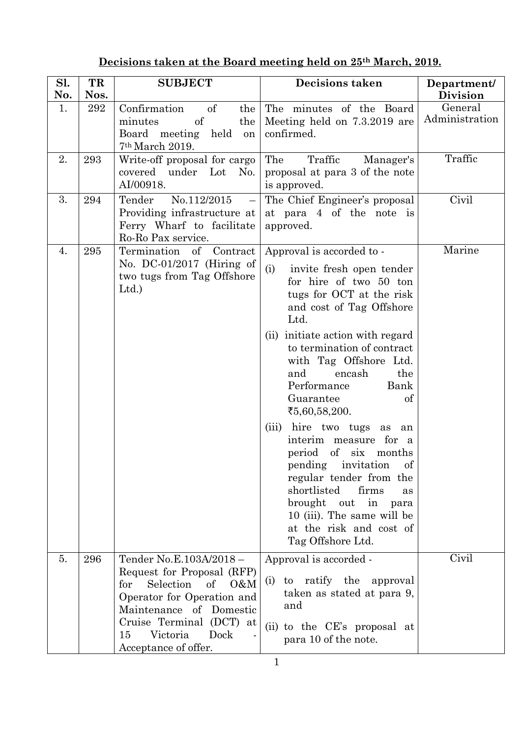| Sl. | TR   | <b>SUBJECT</b>                                                                                                                                                             | <b>Decisions taken</b>                                                                                                                                                                                                                                                                                                                                                                                                                                                                                                                                                                                                          | Department/               |
|-----|------|----------------------------------------------------------------------------------------------------------------------------------------------------------------------------|---------------------------------------------------------------------------------------------------------------------------------------------------------------------------------------------------------------------------------------------------------------------------------------------------------------------------------------------------------------------------------------------------------------------------------------------------------------------------------------------------------------------------------------------------------------------------------------------------------------------------------|---------------------------|
| No. | Nos. |                                                                                                                                                                            |                                                                                                                                                                                                                                                                                                                                                                                                                                                                                                                                                                                                                                 | <b>Division</b>           |
| 1.  | 292  | Confirmation<br>$\sigma f$<br>the<br>of<br>minutes<br>the<br>Board meeting held<br>on<br>7th March 2019.                                                                   | The minutes of the Board<br>Meeting held on 7.3.2019 are<br>confirmed.                                                                                                                                                                                                                                                                                                                                                                                                                                                                                                                                                          | General<br>Administration |
| 2.  | 293  | Write-off proposal for cargo<br>covered under Lot No.<br>AI/00918.                                                                                                         | The<br>Traffic<br>Manager's<br>proposal at para 3 of the note<br>is approved.                                                                                                                                                                                                                                                                                                                                                                                                                                                                                                                                                   | Traffic                   |
| 3.  | 294  | Tender<br>No.112/2015<br>Providing infrastructure at<br>Ferry Wharf to facilitate<br>Ro-Ro Pax service.                                                                    | The Chief Engineer's proposal<br>at para 4 of the note is<br>approved.                                                                                                                                                                                                                                                                                                                                                                                                                                                                                                                                                          | Civil                     |
| 4.  | 295  | Termination of Contract<br>No. DC-01/2017 (Hiring of<br>two tugs from Tag Offshore<br>Ltd.                                                                                 | Approval is accorded to -<br>(i)<br>invite fresh open tender<br>for hire of two 50 ton<br>tugs for OCT at the risk<br>and cost of Tag Offshore<br>Ltd.<br>initiate action with regard<br>(ii)<br>to termination of contract<br>with Tag Offshore Ltd.<br>and<br>encash<br>the<br>Performance<br>Bank<br>Guarantee<br>of<br>₹ $5,60,58,200.$<br>(iii) hire two tugs as an<br>interim measure for a<br>period of six months<br>invitation<br>of<br>pending<br>regular tender from the<br>shortlisted<br>firms<br>as<br>brought<br>out<br>in<br>para<br>10 (iii). The same will be<br>at the risk and cost of<br>Tag Offshore Ltd. | Marine                    |
| 5.  | 296  | Tender No.E.103A/2018-<br>Request for Proposal (RFP)<br>Selection<br>of<br>0&M<br>for<br>Operator for Operation and<br>Maintenance of Domestic<br>Cruise Terminal (DCT) at | Approval is accorded -<br>(i) to ratify the<br>approval<br>taken as stated at para 9,<br>and<br>(ii) to the CE's proposal at                                                                                                                                                                                                                                                                                                                                                                                                                                                                                                    | Civil                     |
|     |      | Victoria<br>Dock<br>15<br>Acceptance of offer.                                                                                                                             | para 10 of the note.                                                                                                                                                                                                                                                                                                                                                                                                                                                                                                                                                                                                            |                           |

## **Decisions taken at the Board meeting held on 25th March, 2019.**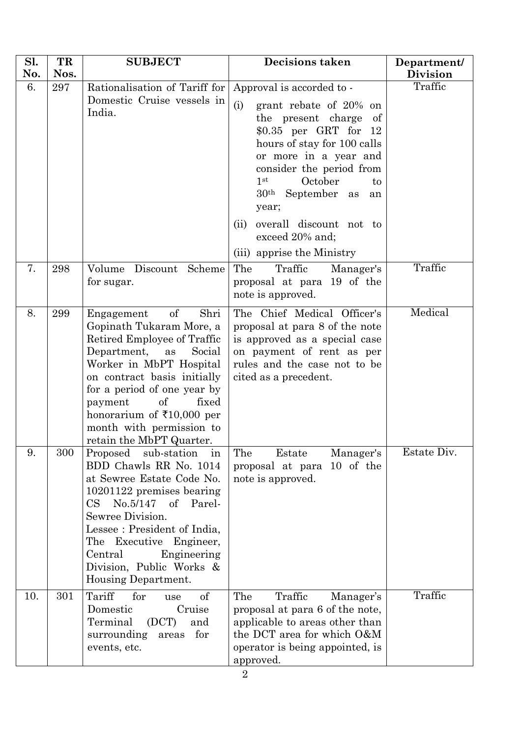| Sl. | TR   | <b>SUBJECT</b>                                                                                                                                                                                                                                                                                                                        | <b>Decisions taken</b>                                                                                                                                                                                                                                                                                                                                                    | Department/     |
|-----|------|---------------------------------------------------------------------------------------------------------------------------------------------------------------------------------------------------------------------------------------------------------------------------------------------------------------------------------------|---------------------------------------------------------------------------------------------------------------------------------------------------------------------------------------------------------------------------------------------------------------------------------------------------------------------------------------------------------------------------|-----------------|
| No. | Nos. |                                                                                                                                                                                                                                                                                                                                       |                                                                                                                                                                                                                                                                                                                                                                           | <b>Division</b> |
| 6.  | 297  | Rationalisation of Tariff for<br>Domestic Cruise vessels in<br>India.                                                                                                                                                                                                                                                                 | Approval is accorded to -<br>(i)<br>grant rebate of 20% on<br>the present charge<br>of<br>$$0.35$ per GRT for<br>-12<br>hours of stay for 100 calls<br>or more in a year and<br>consider the period from<br>October<br>1 <sup>st</sup><br>to<br>$30th$ September<br>as<br>an<br>year;<br>overall discount not to<br>(ii)<br>exceed 20% and;<br>(iii) apprise the Ministry | Traffic         |
| 7.  | 298  | Discount Scheme<br>Volume<br>for sugar.                                                                                                                                                                                                                                                                                               | The<br>Traffic<br>Manager's<br>proposal at para 19 of the<br>note is approved.                                                                                                                                                                                                                                                                                            | Traffic         |
| 8.  | 299  | of<br>Shri<br>Engagement<br>Gopinath Tukaram More, a<br>Retired Employee of Traffic<br>Department,<br>Social<br>as<br>Worker in MbPT Hospital<br>on contract basis initially<br>for a period of one year by<br>of<br>payment<br>fixed<br>honorarium of $\bar{\tau}10,000$ per<br>month with permission to<br>retain the MbPT Quarter. | The Chief Medical Officer's<br>proposal at para 8 of the note<br>is approved as a special case<br>on payment of rent as per<br>rules and the case not to be<br>cited as a precedent.                                                                                                                                                                                      | Medical         |
| 9.  | 300  | Proposed<br>sub-station<br>in<br>BDD Chawls RR No. 1014<br>at Sewree Estate Code No.<br>10201122 premises bearing<br>CS<br>$No.5/147$ of<br>Parel-<br>Sewree Division.<br>Lessee : President of India,<br>The Executive<br>Engineer,<br>Central<br>Engineering<br>Division, Public Works &<br>Housing Department.                     | The<br>Manager's<br>Estate<br>10 of the<br>proposal at para<br>note is approved.                                                                                                                                                                                                                                                                                          | Estate Div.     |
| 10. | 301  | for<br>Tariff<br>of<br>use<br>Cruise<br>Domestic<br>Terminal<br>(DCT)<br>and<br>for<br>surrounding<br>areas<br>events, etc.                                                                                                                                                                                                           | Traffic<br>The<br>Manager's<br>proposal at para 6 of the note,<br>applicable to areas other than<br>the DCT area for which O&M<br>operator is being appointed, is<br>approved.                                                                                                                                                                                            | Traffic         |